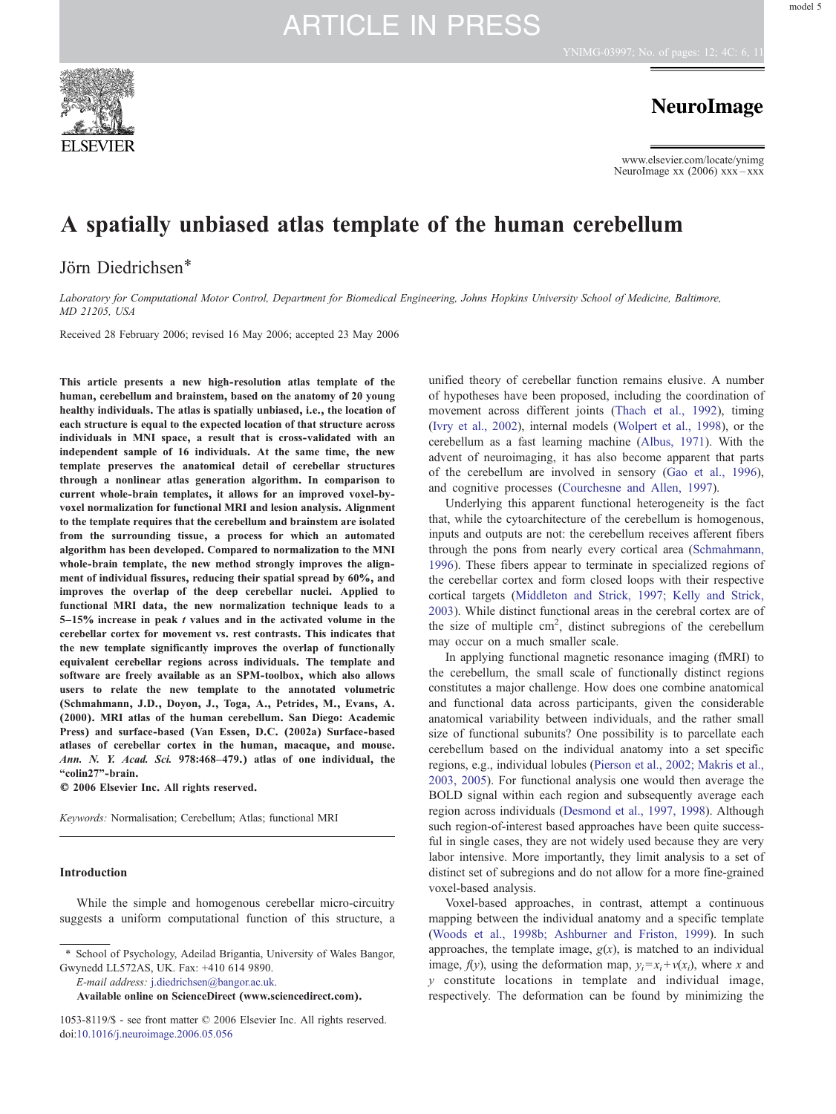

### **NeuroImage**

www.elsevier.com/locate/ynimg NeuroImage xx  $(2006)$  xxx – xxx

### A spatially unbiased atlas template of the human cerebellum

### Jörn Diedrichsen⁎

Laboratory for Computational Motor Control, Department for Biomedical Engineering, Johns Hopkins University School of Medicine, Baltimore, MD 21205, USA

Received 28 February 2006; revised 16 May 2006; accepted 23 May 2006

This article presents a new high-resolution atlas template of the human, cerebellum and brainstem, based on the anatomy of 20 young healthy individuals. The atlas is spatially unbiased, i.e., the location of each structure is equal to the expected location of that structure across individuals in MNI space, a result that is cross-validated with an independent sample of 16 individuals. At the same time, the new template preserves the anatomical detail of cerebellar structures through a nonlinear atlas generation algorithm. In comparison to current whole-brain templates, it allows for an improved voxel-byvoxel normalization for functional MRI and lesion analysis. Alignment to the template requires that the cerebellum and brainstem are isolated from the surrounding tissue, a process for which an automated algorithm has been developed. Compared to normalization to the MNI whole-brain template, the new method strongly improves the alignment of individual fissures, reducing their spatial spread by 60%, and improves the overlap of the deep cerebellar nuclei. Applied to functional MRI data, the new normalization technique leads to a 5–15% increase in peak t values and in the activated volume in the cerebellar cortex for movement vs. rest contrasts. This indicates that the new template significantly improves the overlap of functionally equivalent cerebellar regions across individuals. The template and software are freely available as an SPM-toolbox, which also allows users to relate the new template to the annotated volumetric (Schmahmann, J.D., Doyon, J., Toga, A., Petrides, M., Evans, A. (2000). MRI atlas of the human cerebellum. San Diego: Academic Press) and surface-based (Van Essen, D.C. (2002a) Surface-based atlases of cerebellar cortex in the human, macaque, and mouse. Ann. N. Y. Acad. Sci. 978:468–479.) atlas of one individual, the "colin27"-brain.

© 2006 Elsevier Inc. All rights reserved.

Keywords: Normalisation; Cerebellum; Atlas; functional MRI

#### Introduction

While the simple and homogenous cerebellar micro-circuitry suggests a uniform computational function of this structure, a

⁎ School of Psychology, Adeilad Brigantia, University of Wales Bangor, Gwynedd LL572AS, UK. Fax: +410 614 9890.

E-mail address: [j.diedrichsen@bangor.ac.uk.](mailto:j.diedrichsen@bangor.ac.uk)

Available online on ScienceDirect (www.sciencedirect.com).

unified theory of cerebellar function remains elusive. A number of hypotheses have been proposed, including the coordination of movement across different joints [\(Thach](#page-11-0) et al., 1992), timing (Ivry et al., [2002\)](#page-11-0), internal models [\(Wolpert](#page-11-0) et al., 1998), or the cerebellum as a fast learning machine ([Albus,](#page-11-0) 1971). With the advent of neuroimaging, it has also become apparent that parts of the cerebellum are involved in sensory (Gao et al., [1996](#page-11-0)), and cognitive processes ([Courchesne](#page-11-0) and Allen, 1997).

Underlying this apparent functional heterogeneity is the fact that, while the cytoarchitecture of the cerebellum is homogenous, inputs and outputs are not: the cerebellum receives afferent fibers through the pons from nearly every cortical area ([Schmahmann,](#page-11-0) [1996](#page-11-0)). These fibers appear to terminate in specialized regions of the cerebellar cortex and form closed loops with their respective cortical targets [\(Middleton](#page-11-0) and Strick, 1997; Kelly and Strick, [2003](#page-11-0)). While distinct functional areas in the cerebral cortex are of the size of multiple  $cm<sup>2</sup>$ , distinct subregions of the cerebellum may occur on a much smaller scale.

In applying functional magnetic resonance imaging (fMRI) to the cerebellum, the small scale of functionally distinct regions constitutes a major challenge. How does one combine anatomical and functional data across participants, given the considerable anatomical variability between individuals, and the rather small size of functional subunits? One possibility is to parcellate each cerebellum based on the individual anatomy into a set specific regions, e.g., individual lobules [\(Pierson](#page-11-0) et al., 2002; Makris et al., [2003,](#page-11-0) 2005). For functional analysis one would then average the BOLD signal within each region and subsequently average each region across individuals [\(Desmond](#page-11-0) et al., 1997, 1998). Although such region-of-interest based approaches have been quite successful in single cases, they are not widely used because they are very labor intensive. More importantly, they limit analysis to a set of distinct set of subregions and do not allow for a more fine-grained voxel-based analysis.

Voxel-based approaches, in contrast, attempt a continuous mapping between the individual anatomy and a specific template (Woods et al., 1998b; [Ashburner](#page-11-0) and Friston, 1999). In such approaches, the template image,  $g(x)$ , is matched to an individual image,  $f(y)$ , using the deformation map,  $y_i = x_i + v(x_i)$ , where x and  $y$  constitute locations in template and individual image, respectively. The deformation can be found by minimizing the

<sup>1053-8119/\$</sup> - see front matter © 2006 Elsevier Inc. All rights reserved. doi:[10.1016/j.neuroimage.2006.05.056](http://dx.doi.org/10.1016/j.neuroimage.2006.05.056)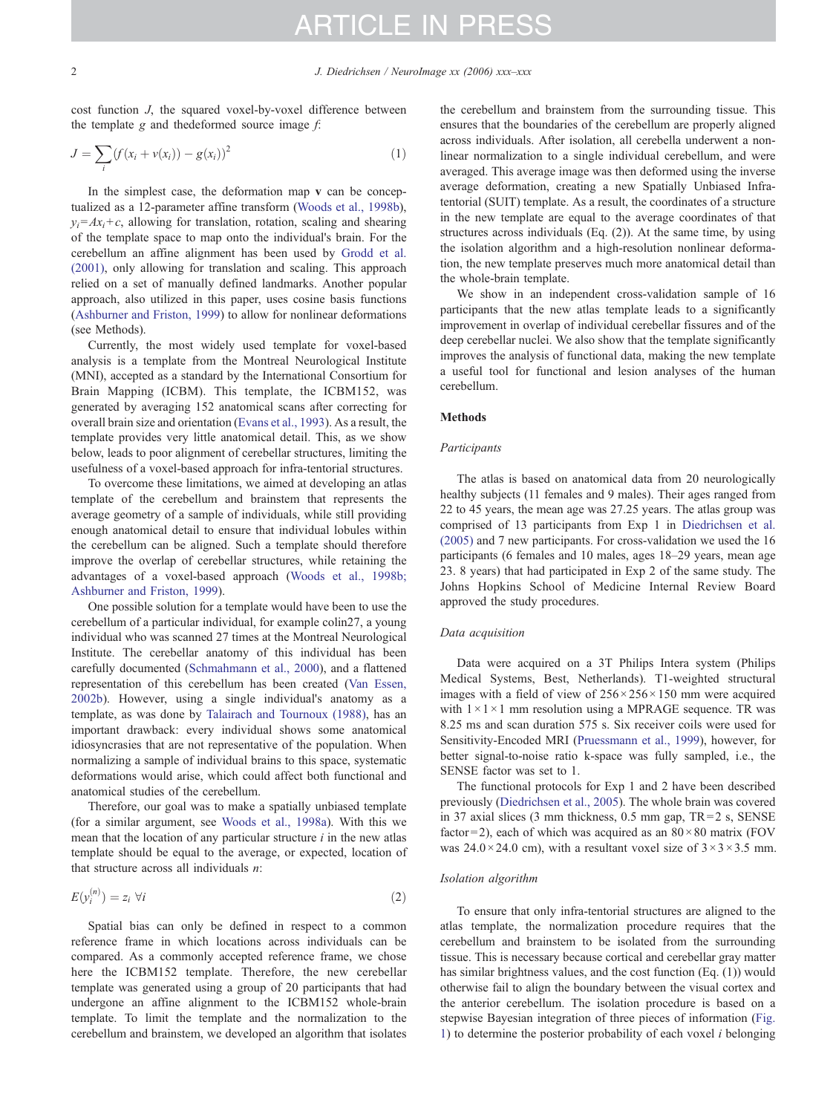cost function J, the squared voxel-by-voxel difference between the template  $g$  and thedeformed source image  $f$ :

$$
J = \sum_{i} (f(x_i + v(x_i)) - g(x_i))^2
$$
 (1)

In the simplest case, the deformation map  $v$  can be conceptualized as a 12-parameter affine transform ([Woods](#page-11-0) et al., 1998b),  $y_i = Ax_i + c$ , allowing for translation, rotation, scaling and shearing of the template space to map onto the individual's brain. For the cerebellum an affine alignment has been used by [Grodd](#page-11-0) et al. [\(2001\)](#page-11-0), only allowing for translation and scaling. This approach relied on a set of manually defined landmarks. Another popular approach, also utilized in this paper, uses cosine basis functions ([Ashburner](#page-11-0) and Friston, 1999) to allow for nonlinear deformations (see Methods).

Currently, the most widely used template for voxel-based analysis is a template from the Montreal Neurological Institute (MNI), accepted as a standard by the International Consortium for Brain Mapping (ICBM). This template, the ICBM152, was generated by averaging 152 anatomical scans after correcting for overall brain size and orientation ([Evans](#page-11-0) et al., 1993). As a result, the template provides very little anatomical detail. This, as we show below, leads to poor alignment of cerebellar structures, limiting the usefulness of a voxel-based approach for infra-tentorial structures.

To overcome these limitations, we aimed at developing an atlas template of the cerebellum and brainstem that represents the average geometry of a sample of individuals, while still providing enough anatomical detail to ensure that individual lobules within the cerebellum can be aligned. Such a template should therefore improve the overlap of cerebellar structures, while retaining the advantages of a voxel-based approach (Woods et al., [1998b;](#page-11-0) [Ashburner](#page-11-0) and Friston, 1999).

One possible solution for a template would have been to use the cerebellum of a particular individual, for example colin27, a young individual who was scanned 27 times at the Montreal Neurological Institute. The cerebellar anatomy of this individual has been carefully documented ([Schmahmann](#page-11-0) et al., 2000), and a flattened representation of this cerebellum has been created (Van [Essen,](#page-11-0) [2002b](#page-11-0)). However, using a single individual's anatomy as a template, as was done by Talairach and [Tournoux](#page-11-0) (1988), has an important drawback: every individual shows some anatomical idiosyncrasies that are not representative of the population. When normalizing a sample of individual brains to this space, systematic deformations would arise, which could affect both functional and anatomical studies of the cerebellum.

Therefore, our goal was to make a spatially unbiased template (for a similar argument, see [Woods](#page-11-0) et al., 1998a). With this we mean that the location of any particular structure  $i$  in the new atlas template should be equal to the average, or expected, location of that structure across all individuals  $n$ :

$$
E(y_i^{(n)}) = z_i \,\forall i \tag{2}
$$

Spatial bias can only be defined in respect to a common reference frame in which locations across individuals can be compared. As a commonly accepted reference frame, we chose here the ICBM152 template. Therefore, the new cerebellar template was generated using a group of 20 participants that had undergone an affine alignment to the ICBM152 whole-brain template. To limit the template and the normalization to the cerebellum and brainstem, we developed an algorithm that isolates

the cerebellum and brainstem from the surrounding tissue. This ensures that the boundaries of the cerebellum are properly aligned across individuals. After isolation, all cerebella underwent a nonlinear normalization to a single individual cerebellum, and were averaged. This average image was then deformed using the inverse average deformation, creating a new Spatially Unbiased Infratentorial (SUIT) template. As a result, the coordinates of a structure in the new template are equal to the average coordinates of that structures across individuals (Eq. (2)). At the same time, by using the isolation algorithm and a high-resolution nonlinear deformation, the new template preserves much more anatomical detail than the whole-brain template.

We show in an independent cross-validation sample of 16 participants that the new atlas template leads to a significantly improvement in overlap of individual cerebellar fissures and of the deep cerebellar nuclei. We also show that the template significantly improves the analysis of functional data, making the new template a useful tool for functional and lesion analyses of the human cerebellum.

#### **Methods**

#### Participants

The atlas is based on anatomical data from 20 neurologically healthy subjects (11 females and 9 males). Their ages ranged from 22 to 45 years, the mean age was 27.25 years. The atlas group was comprised of 13 participants from Exp 1 in [Diedrichsen](#page-11-0) et al. [\(2005\)](#page-11-0) and 7 new participants. For cross-validation we used the 16 participants (6 females and 10 males, ages 18–29 years, mean age 23. 8 years) that had participated in Exp 2 of the same study. The Johns Hopkins School of Medicine Internal Review Board approved the study procedures.

#### Data acquisition

Data were acquired on a 3T Philips Intera system (Philips Medical Systems, Best, Netherlands). T1-weighted structural images with a field of view of  $256 \times 256 \times 150$  mm were acquired with  $1 \times 1 \times 1$  mm resolution using a MPRAGE sequence. TR was 8.25 ms and scan duration 575 s. Six receiver coils were used for Sensitivity-Encoded MRI [\(Pruessmann](#page-11-0) et al., 1999), however, for better signal-to-noise ratio k-space was fully sampled, i.e., the SENSE factor was set to 1.

The functional protocols for Exp 1 and 2 have been described previously [\(Diedrichsen](#page-11-0) et al., 2005). The whole brain was covered in 37 axial slices (3 mm thickness,  $0.5$  mm gap,  $TR=2$  s, SENSE factor=2), each of which was acquired as an  $80 \times 80$  matrix (FOV was  $24.0 \times 24.0$  cm), with a resultant voxel size of  $3 \times 3 \times 3.5$  mm.

#### Isolation algorithm

To ensure that only infra-tentorial structures are aligned to the atlas template, the normalization procedure requires that the cerebellum and brainstem to be isolated from the surrounding tissue. This is necessary because cortical and cerebellar gray matter has similar brightness values, and the cost function (Eq. (1)) would otherwise fail to align the boundary between the visual cortex and the anterior cerebellum. The isolation procedure is based on a stepwise Bayesian integration of three pieces of information ([Fig.](#page-2-0) [1](#page-2-0)) to determine the posterior probability of each voxel  $i$  belonging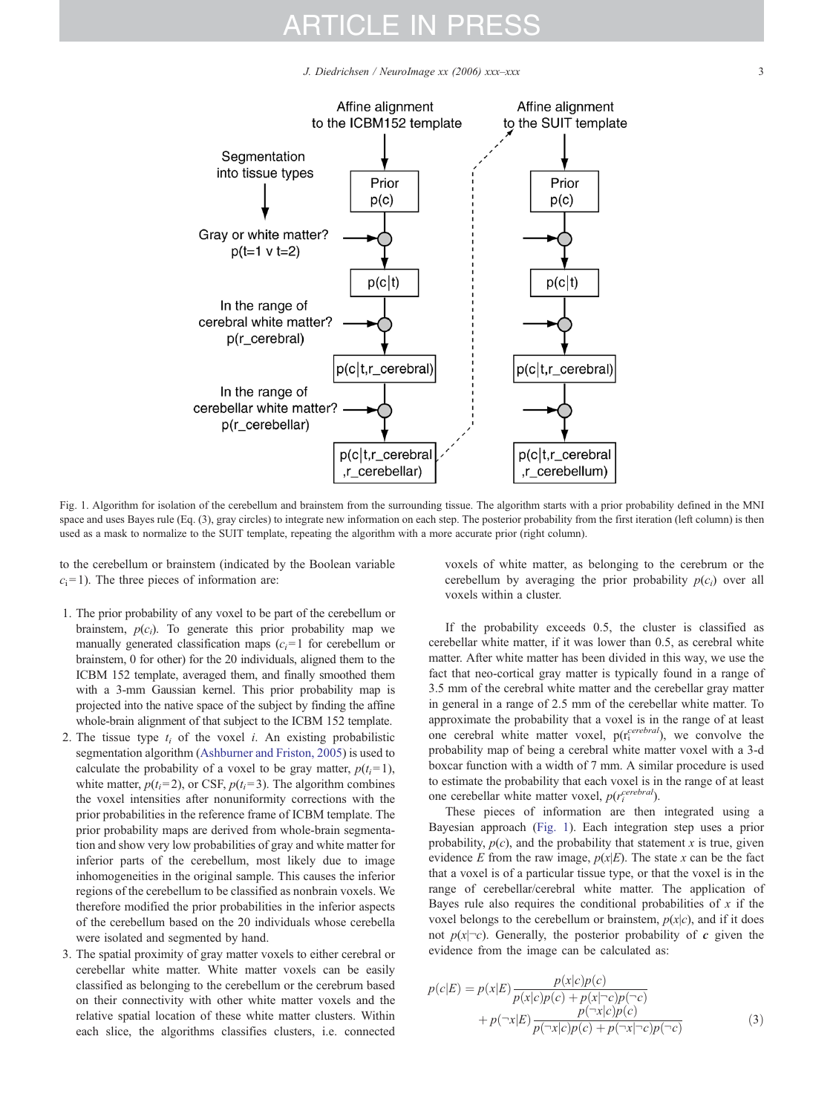J. Diedrichsen / NeuroImage xx (2006) xxx–xxx 3

<span id="page-2-0"></span>

Fig. 1. Algorithm for isolation of the cerebellum and brainstem from the surrounding tissue. The algorithm starts with a prior probability defined in the MNI space and uses Bayes rule (Eq. (3), gray circles) to integrate new information on each step. The posterior probability from the first iteration (left column) is then used as a mask to normalize to the SUIT template, repeating the algorithm with a more accurate prior (right column).

to the cerebellum or brainstem (indicated by the Boolean variable  $c_i=1$ ). The three pieces of information are:

- 1. The prior probability of any voxel to be part of the cerebellum or brainstem,  $p(c_i)$ . To generate this prior probability map we manually generated classification maps  $(c_i=1$  for cerebellum or brainstem, 0 for other) for the 20 individuals, aligned them to the ICBM 152 template, averaged them, and finally smoothed them with a 3-mm Gaussian kernel. This prior probability map is projected into the native space of the subject by finding the affine whole-brain alignment of that subject to the ICBM 152 template.
- 2. The tissue type  $t_i$  of the voxel  $i$ . An existing probabilistic segmentation algorithm ([Ashburner](#page-11-0) and Friston, 2005) is used to calculate the probability of a voxel to be gray matter,  $p(t_i=1)$ , white matter,  $p(t_i=2)$ , or CSF,  $p(t_i=3)$ . The algorithm combines the voxel intensities after nonuniformity corrections with the prior probabilities in the reference frame of ICBM template. The prior probability maps are derived from whole-brain segmentation and show very low probabilities of gray and white matter for inferior parts of the cerebellum, most likely due to image inhomogeneities in the original sample. This causes the inferior regions of the cerebellum to be classified as nonbrain voxels. We therefore modified the prior probabilities in the inferior aspects of the cerebellum based on the 20 individuals whose cerebella were isolated and segmented by hand.
- 3. The spatial proximity of gray matter voxels to either cerebral or cerebellar white matter. White matter voxels can be easily classified as belonging to the cerebellum or the cerebrum based on their connectivity with other white matter voxels and the relative spatial location of these white matter clusters. Within each slice, the algorithms classifies clusters, i.e. connected

voxels of white matter, as belonging to the cerebrum or the cerebellum by averaging the prior probability  $p(c_i)$  over all voxels within a cluster.

If the probability exceeds 0.5, the cluster is classified as cerebellar white matter, if it was lower than 0.5, as cerebral white matter. After white matter has been divided in this way, we use the fact that neo-cortical gray matter is typically found in a range of 3.5 mm of the cerebral white matter and the cerebellar gray matter in general in a range of 2.5 mm of the cerebellar white matter. To approximate the probability that a voxel is in the range of at least one cerebral white matter voxel, p(rcerebral), we convolve the probability map of being a cerebral white matter voxel with a 3-d boxcar function with a width of 7 mm. A similar procedure is used to estimate the probability that each voxel is in the range of at least one cerebellar white matter voxel,  $p(r_i^{cerebral})$ .

These pieces of information are then integrated using a Bayesian approach (Fig. 1). Each integration step uses a prior probability,  $p(c)$ , and the probability that statement x is true, given evidence E from the raw image,  $p(x|E)$ . The state x can be the fact that a voxel is of a particular tissue type, or that the voxel is in the range of cerebellar/cerebral white matter. The application of Bayes rule also requires the conditional probabilities of  $x$  if the voxel belongs to the cerebellum or brainstem,  $p(x|c)$ , and if it does not  $p(x|\neg c)$ . Generally, the posterior probability of c given the evidence from the image can be calculated as:

$$
p(c|E) = p(x|E)\frac{p(x|c)p(c)}{p(x|c)p(c) + p(x|\neg c)p(\neg c)}
$$
  
+ 
$$
p(\neg x|E)\frac{p(\neg x|c)p(c)}{p(\neg x|c)p(c) + p(\neg x|\neg c)p(\neg c)}
$$
(3)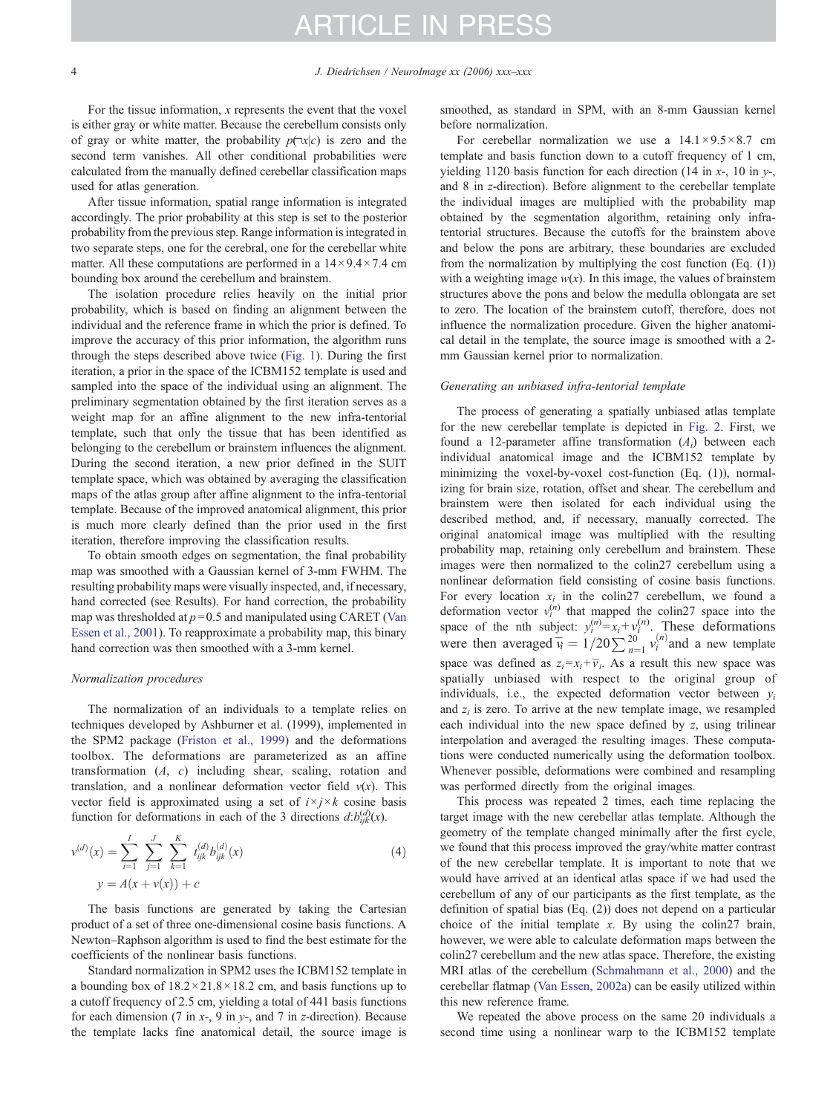For the tissue information,  $x$  represents the event that the voxel is either gray or white matter. Because the cerebellum consists only of gray or white matter, the probability  $p(\neg x|c)$  is zero and the second term vanishes. All other conditional probabilities were calculated from the manually defined cerebellar classification maps used for atlas generation.

After tissue information, spatial range information is integrated accordingly. The prior probability at this step is set to the posterior probability from the previous step. Range information is integrated in two separate steps, one for the cerebral, one for the cerebellar white matter. All these computations are performed in a  $14 \times 9.4 \times 7.4$  cm bounding box around the cerebellum and brainstem.

The isolation procedure relies heavily on the initial prior probability, which is based on finding an alignment between the individual and the reference frame in which the prior is defined. To improve the accuracy of this prior information, the algorithm runs through the steps described above twice [\(Fig.](#page-2-0) 1). During the first iteration, a prior in the space of the ICBM152 template is used and sampled into the space of the individual using an alignment. The preliminary segmentation obtained by the first iteration serves as a weight map for an affine alignment to the new infra-tentorial template, such that only the tissue that has been identified as belonging to the cerebellum or brainstem influences the alignment. During the second iteration, a new prior defined in the SUIT template space, which was obtained by averaging the classification maps of the atlas group after affine alignment to the infra-tentorial template. Because of the improved anatomical alignment, this prior is much more clearly defined than the prior used in the first iteration, therefore improving the classification results.

To obtain smooth edges on segmentation, the final probability map was smoothed with a Gaussian kernel of 3-mm FWHM. The resulting probability maps were visually inspected, and, if necessary, hand corrected (see Results). For hand correction, the probability map was thresholded at  $p=0.5$  and manipulated using CARET ([Van](#page-11-0) [Essen](#page-11-0) et al., 2001). To reapproximate a probability map, this binary hand correction was then smoothed with a 3-mm kernel.

#### Normalization procedures

The normalization of an individuals to a template relies on techniques developed by Ashburner et al. (1999), implemented in the SPM2 package [\(Friston](http:http://www.fil.ion.ucl.ac.uk/spm/) et al., 1999) and the deformations toolbox. The deformations are parameterized as an affine transformation (A, c) including shear, scaling, rotation and translation, and a nonlinear deformation vector field  $v(x)$ . This vector field is approximated using a set of  $i \times j \times k$  cosine basis function for deformations in each of the 3 directions  $d:b_{ijk}^{(d)}(x)$ .

$$
v^{(d)}(x) = \sum_{i=1}^{I} \sum_{j=1}^{J} \sum_{k=1}^{K} t_{ijk}^{(d)} b_{ijk}^{(d)}(x)
$$
  

$$
y = A(x + v(x)) + c
$$
 (4)

The basis functions are generated by taking the Cartesian product of a set of three one-dimensional cosine basis functions. A Newton–Raphson algorithm is used to find the best estimate for the coefficients of the nonlinear basis functions.

Standard normalization in SPM2 uses the ICBM152 template in a bounding box of  $18.2 \times 21.8 \times 18.2$  cm, and basis functions up to a cutoff frequency of 2.5 cm, yielding a total of 441 basis functions for each dimension (7 in  $x$ -, 9 in  $y$ -, and 7 in z-direction). Because the template lacks fine anatomical detail, the source image is

smoothed, as standard in SPM, with an 8-mm Gaussian kernel before normalization.

For cerebellar normalization we use a  $14.1 \times 9.5 \times 8.7$  cm template and basis function down to a cutoff frequency of 1 cm, yielding 1120 basis function for each direction (14 in x-, 10 in y-, and 8 in z-direction). Before alignment to the cerebellar template the individual images are multiplied with the probability map obtained by the segmentation algorithm, retaining only infratentorial structures. Because the cutoffs for the brainstem above and below the pons are arbitrary, these boundaries are excluded from the normalization by multiplying the cost function  $(Eq. (1))$ with a weighting image  $w(x)$ . In this image, the values of brainstem structures above the pons and below the medulla oblongata are set to zero. The location of the brainstem cutoff, therefore, does not influence the normalization procedure. Given the higher anatomical detail in the template, the source image is smoothed with a 2 mm Gaussian kernel prior to normalization.

#### Generating an unbiased infra-tentorial template

The process of generating a spatially unbiased atlas template for the new cerebellar template is depicted in [Fig.](#page-4-0) 2. First, we found a 12-parameter affine transformation  $(A_i)$  between each individual anatomical image and the ICBM152 template by minimizing the voxel-by-voxel cost-function (Eq. (1)), normalizing for brain size, rotation, offset and shear. The cerebellum and brainstem were then isolated for each individual using the described method, and, if necessary, manually corrected. The original anatomical image was multiplied with the resulting probability map, retaining only cerebellum and brainstem. These images were then normalized to the colin27 cerebellum using a nonlinear deformation field consisting of cosine basis functions. For every location  $x_i$  in the colin27 cerebellum, we found a deformation vector  $v_i^{(n)}$  that mapped the colin27 space into the space of the nth subject:  $y_i^{(n)} = x_i + y_i^{(n)}$ . These deformations were then averaged  $\bar{v}_i = 1/20 \sum_{n=1}^{20} v_i^{(n)}$  and a new template space was defined as  $z_i = x_i + \overline{v}_i$ . As a result this new space was spatially unbiased with respect to the original group of individuals, i.e., the expected deformation vector between  $y_i$ and  $z_i$  is zero. To arrive at the new template image, we resampled each individual into the new space defined by z, using trilinear interpolation and averaged the resulting images. These computations were conducted numerically using the deformation toolbox. Whenever possible, deformations were combined and resampling was performed directly from the original images.

This process was repeated 2 times, each time replacing the target image with the new cerebellar atlas template. Although the geometry of the template changed minimally after the first cycle, we found that this process improved the gray/white matter contrast of the new cerebellar template. It is important to note that we would have arrived at an identical atlas space if we had used the cerebellum of any of our participants as the first template, as the definition of spatial bias (Eq. (2)) does not depend on a particular choice of the initial template  $x$ . By using the colin27 brain, however, we were able to calculate deformation maps between the colin27 cerebellum and the new atlas space. Therefore, the existing MRI atlas of the cerebellum ([Schmahmann](#page-11-0) et al., 2000) and the cerebellar flatmap (Van [Essen,](#page-11-0) 2002a) can be easily utilized within this new reference frame.

We repeated the above process on the same 20 individuals a second time using a nonlinear warp to the ICBM152 template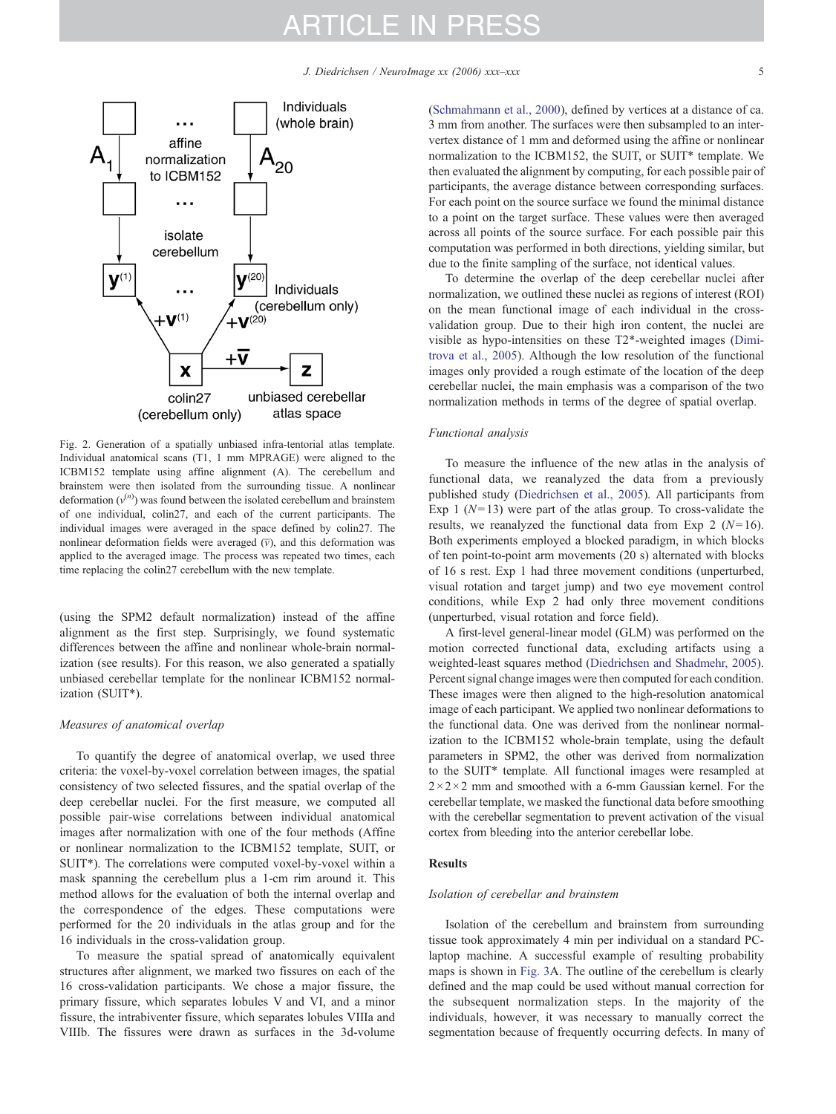<span id="page-4-0"></span>

Fig. 2. Generation of a spatially unbiased infra-tentorial atlas template. Individual anatomical scans (T1, 1 mm MPRAGE) were aligned to the ICBM152 template using affine alignment (A). The cerebellum and brainstem were then isolated from the surrounding tissue. A nonlinear deformation  $(v^{(n)})$  was found between the isolated cerebellum and brainstem of one individual, colin27, and each of the current participants. The individual images were averaged in the space defined by colin27. The nonlinear deformation fields were averaged  $(\bar{v})$ , and this deformation was applied to the averaged image. The process was repeated two times, each time replacing the colin27 cerebellum with the new template.

(using the SPM2 default normalization) instead of the affine alignment as the first step. Surprisingly, we found systematic differences between the affine and nonlinear whole-brain normalization (see results). For this reason, we also generated a spatially unbiased cerebellar template for the nonlinear ICBM152 normalization (SUIT\*).

### Measures of anatomical overlap

To quantify the degree of anatomical overlap, we used three criteria: the voxel-by-voxel correlation between images, the spatial consistency of two selected fissures, and the spatial overlap of the deep cerebellar nuclei. For the first measure, we computed all possible pair-wise correlations between individual anatomical images after normalization with one of the four methods (Affine or nonlinear normalization to the ICBM152 template, SUIT, or SUIT\*). The correlations were computed voxel-by-voxel within a mask spanning the cerebellum plus a 1-cm rim around it. This method allows for the evaluation of both the internal overlap and the correspondence of the edges. These computations were performed for the 20 individuals in the atlas group and for the 16 individuals in the cross-validation group.

To measure the spatial spread of anatomically equivalent structures after alignment, we marked two fissures on each of the 16 cross-validation participants. We chose a major fissure, the primary fissure, which separates lobules V and VI, and a minor fissure, the intrabiventer fissure, which separates lobules VIIIa and VIIIb. The fissures were drawn as surfaces in the 3d-volume

[\(Schmahmann](#page-11-0) et al., 2000), defined by vertices at a distance of ca. 3 mm from another. The surfaces were then subsampled to an intervertex distance of 1 mm and deformed using the affine or nonlinear normalization to the ICBM152, the SUIT, or SUIT\* template. We then evaluated the alignment by computing, for each possible pair of participants, the average distance between corresponding surfaces. For each point on the source surface we found the minimal distance to a point on the target surface. These values were then averaged across all points of the source surface. For each possible pair this computation was performed in both directions, yielding similar, but due to the finite sampling of the surface, not identical values.

To determine the overlap of the deep cerebellar nuclei after normalization, we outlined these nuclei as regions of interest (ROI) on the mean functional image of each individual in the crossvalidation group. Due to their high iron content, the nuclei are visible as hypo-intensities on these T2\*-weighted images [\(Dimi](#page-11-0)[trova](#page-11-0) et al., 2005). Although the low resolution of the functional images only provided a rough estimate of the location of the deep cerebellar nuclei, the main emphasis was a comparison of the two normalization methods in terms of the degree of spatial overlap.

#### Functional analysis

To measure the influence of the new atlas in the analysis of functional data, we reanalyzed the data from a previously published study ([Diedrichsen](#page-11-0) et al., 2005). All participants from Exp 1 ( $N=13$ ) were part of the atlas group. To cross-validate the results, we reanalyzed the functional data from Exp 2 ( $N=16$ ). Both experiments employed a blocked paradigm, in which blocks of ten point-to-point arm movements (20 s) alternated with blocks of 16 s rest. Exp 1 had three movement conditions (unperturbed, visual rotation and target jump) and two eye movement control conditions, while Exp 2 had only three movement conditions (unperturbed, visual rotation and force field).

A first-level general-linear model (GLM) was performed on the motion corrected functional data, excluding artifacts using a weighted-least squares method ([Diedrichsen](#page-11-0) and Shadmehr, 2005). Percent signal change images were then computed for each condition. These images were then aligned to the high-resolution anatomical image of each participant. We applied two nonlinear deformations to the functional data. One was derived from the nonlinear normalization to the ICBM152 whole-brain template, using the default parameters in SPM2, the other was derived from normalization to the SUIT\* template. All functional images were resampled at  $2 \times 2 \times 2$  mm and smoothed with a 6-mm Gaussian kernel. For the cerebellar template, we masked the functional data before smoothing with the cerebellar segmentation to prevent activation of the visual cortex from bleeding into the anterior cerebellar lobe.

#### Results

#### Isolation of cerebellar and brainstem

Isolation of the cerebellum and brainstem from surrounding tissue took approximately 4 min per individual on a standard PClaptop machine. A successful example of resulting probability maps is shown in [Fig.](#page-5-0) 3A. The outline of the cerebellum is clearly defined and the map could be used without manual correction for the subsequent normalization steps. In the majority of the individuals, however, it was necessary to manually correct the segmentation because of frequently occurring defects. In many of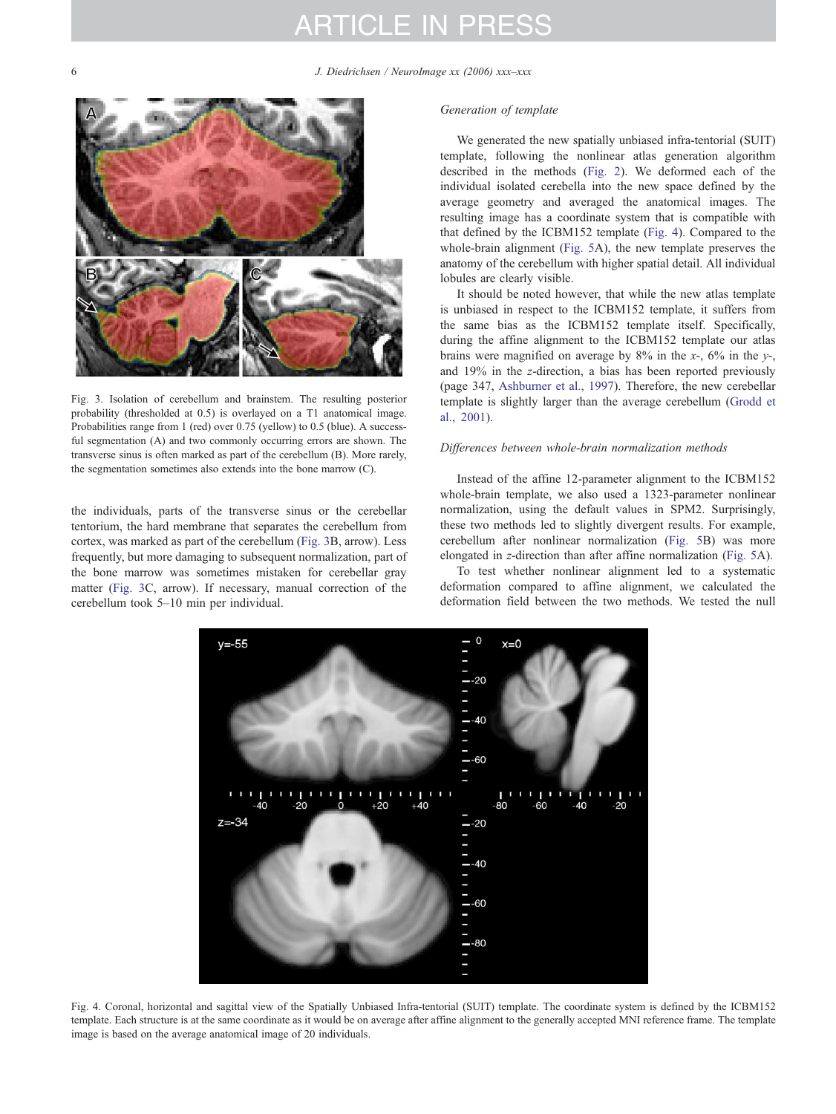<span id="page-5-0"></span>6 J. Diedrichsen / NeuroImage xx (2006) xxx–xxx



Fig. 3. Isolation of cerebellum and brainstem. The resulting posterior probability (thresholded at 0.5) is overlayed on a T1 anatomical image. Probabilities range from 1 (red) over 0.75 (yellow) to 0.5 (blue). A successful segmentation (A) and two commonly occurring errors are shown. The transverse sinus is often marked as part of the cerebellum (B). More rarely, the segmentation sometimes also extends into the bone marrow (C).

the individuals, parts of the transverse sinus or the cerebellar tentorium, the hard membrane that separates the cerebellum from cortex, was marked as part of the cerebellum (Fig. 3B, arrow). Less frequently, but more damaging to subsequent normalization, part of the bone marrow was sometimes mistaken for cerebellar gray matter (Fig. 3C, arrow). If necessary, manual correction of the cerebellum took 5–10 min per individual.

#### Generation of template

We generated the new spatially unbiased infra-tentorial (SUIT) template, following the nonlinear atlas generation algorithm described in the methods ([Fig.](#page-4-0) 2). We deformed each of the individual isolated cerebella into the new space defined by the average geometry and averaged the anatomical images. The resulting image has a coordinate system that is compatible with that defined by the ICBM152 template (Fig. 4). Compared to the whole-brain alignment ([Fig.](#page-6-0) 5A), the new template preserves the anatomy of the cerebellum with higher spatial detail. All individual lobules are clearly visible.

It should be noted however, that while the new atlas template is unbiased in respect to the ICBM152 template, it suffers from the same bias as the ICBM152 template itself. Specifically, during the affine alignment to the ICBM152 template our atlas brains were magnified on average by  $8\%$  in the x-,  $6\%$  in the y-, and 19% in the z-direction, a bias has been reported previously (page 347, [Ashburner](#page-11-0) et al., 1997). Therefore, the new cerebellar template is slightly larger than the average cerebellum [\(Grodd](#page-11-0) et al., [2001](#page-11-0)).

#### Differences between whole-brain normalization methods

Instead of the affine 12-parameter alignment to the ICBM152 whole-brain template, we also used a 1323-parameter nonlinear normalization, using the default values in SPM2. Surprisingly, these two methods led to slightly divergent results. For example, cerebellum after nonlinear normalization ([Fig.](#page-6-0) 5B) was more elongated in z-direction than after affine normalization ([Fig.](#page-6-0) 5A).

To test whether nonlinear alignment led to a systematic deformation compared to affine alignment, we calculated the deformation field between the two methods. We tested the null



Fig. 4. Coronal, horizontal and sagittal view of the Spatially Unbiased Infra-tentorial (SUIT) template. The coordinate system is defined by the ICBM152 template. Each structure is at the same coordinate as it would be on average after affine alignment to the generally accepted MNI reference frame. The template image is based on the average anatomical image of 20 individuals.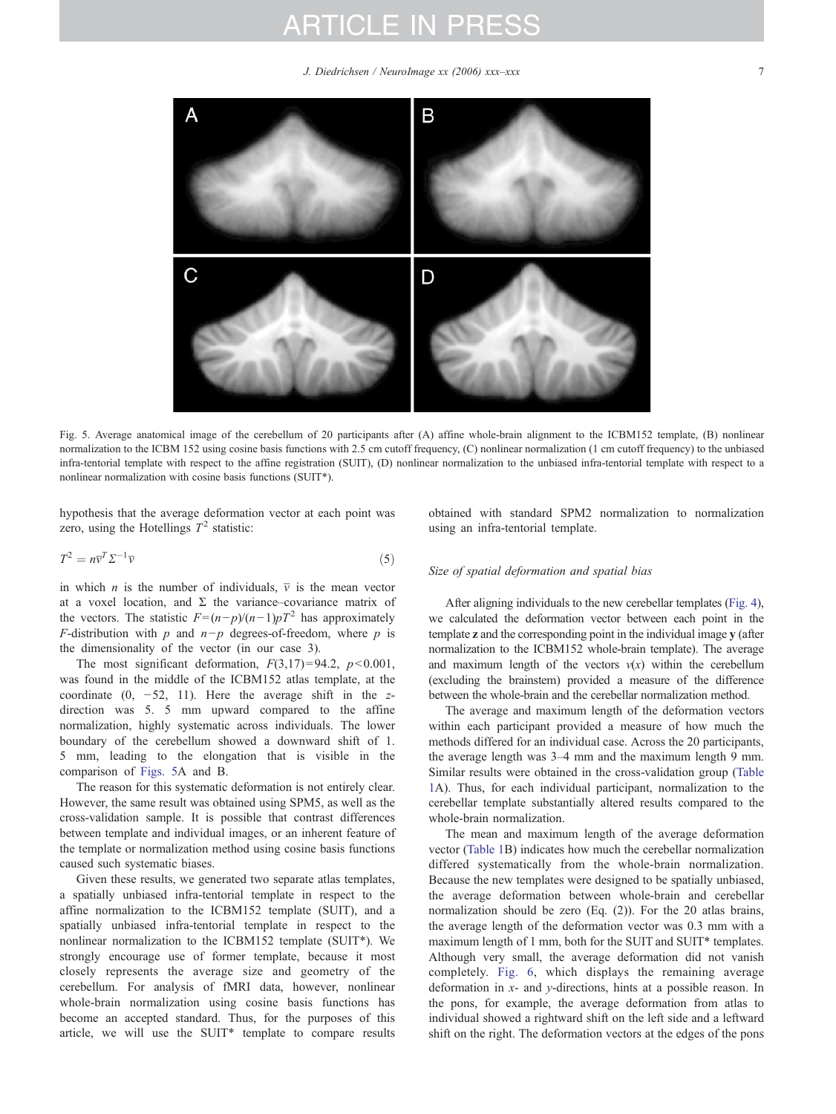J. Diedrichsen / NeuroImage xx (2006) xxx–xxx 7

<span id="page-6-0"></span>

Fig. 5. Average anatomical image of the cerebellum of 20 participants after (A) affine whole-brain alignment to the ICBM152 template, (B) nonlinear normalization to the ICBM 152 using cosine basis functions with 2.5 cm cutoff frequency, (C) nonlinear normalization (1 cm cutoff frequency) to the unbiased infra-tentorial template with respect to the affine registration (SUIT), (D) nonlinear normalization to the unbiased infra-tentorial template with respect to a nonlinear normalization with cosine basis functions (SUIT\*).

hypothesis that the average deformation vector at each point was zero, using the Hotellings  $T^2$  statistic:

$$
T^2 = n\overline{v}^T \Sigma^{-1} \overline{v}
$$
\n<sup>(5)</sup>

in which *n* is the number of individuals,  $\overline{v}$  is the mean vector at a voxel location, and  $\Sigma$  the variance–covariance matrix of the vectors. The statistic  $F=(n-p)/(n-1)pT^2$  has approximately F-distribution with p and  $n-p$  degrees-of-freedom, where p is the dimensionality of the vector (in our case 3).

The most significant deformation,  $F(3,17)=94.2$ ,  $p<0.001$ , was found in the middle of the ICBM152 atlas template, at the coordinate  $(0, -52, 11)$ . Here the average shift in the zdirection was 5. 5 mm upward compared to the affine normalization, highly systematic across individuals. The lower boundary of the cerebellum showed a downward shift of 1. 5 mm, leading to the elongation that is visible in the comparison of Figs. 5A and B.

The reason for this systematic deformation is not entirely clear. However, the same result was obtained using SPM5, as well as the cross-validation sample. It is possible that contrast differences between template and individual images, or an inherent feature of the template or normalization method using cosine basis functions caused such systematic biases.

Given these results, we generated two separate atlas templates, a spatially unbiased infra-tentorial template in respect to the affine normalization to the ICBM152 template (SUIT), and a spatially unbiased infra-tentorial template in respect to the nonlinear normalization to the ICBM152 template (SUIT\*). We strongly encourage use of former template, because it most closely represents the average size and geometry of the cerebellum. For analysis of fMRI data, however, nonlinear whole-brain normalization using cosine basis functions has become an accepted standard. Thus, for the purposes of this article, we will use the SUIT\* template to compare results obtained with standard SPM2 normalization to normalization using an infra-tentorial template.

#### Size of spatial deformation and spatial bias

After aligning individuals to the new cerebellar templates [\(Fig.](#page-5-0) 4), we calculated the deformation vector between each point in the template z and the corresponding point in the individual image y (after normalization to the ICBM152 whole-brain template). The average and maximum length of the vectors  $v(x)$  within the cerebellum (excluding the brainstem) provided a measure of the difference between the whole-brain and the cerebellar normalization method.

The average and maximum length of the deformation vectors within each participant provided a measure of how much the methods differed for an individual case. Across the 20 participants, the average length was 3–4 mm and the maximum length 9 mm. Similar results were obtained in the cross-validation group ([Table](#page-7-0) [1A](#page-7-0)). Thus, for each individual participant, normalization to the cerebellar template substantially altered results compared to the whole-brain normalization.

The mean and maximum length of the average deformation vector ([Table](#page-7-0) 1B) indicates how much the cerebellar normalization differed systematically from the whole-brain normalization. Because the new templates were designed to be spatially unbiased, the average deformation between whole-brain and cerebellar normalization should be zero (Eq. (2)). For the 20 atlas brains, the average length of the deformation vector was 0.3 mm with a maximum length of 1 mm, both for the SUIT and SUIT\* templates. Although very small, the average deformation did not vanish completely. [Fig.](#page-7-0) 6, which displays the remaining average deformation in x- and y-directions, hints at a possible reason. In the pons, for example, the average deformation from atlas to individual showed a rightward shift on the left side and a leftward shift on the right. The deformation vectors at the edges of the pons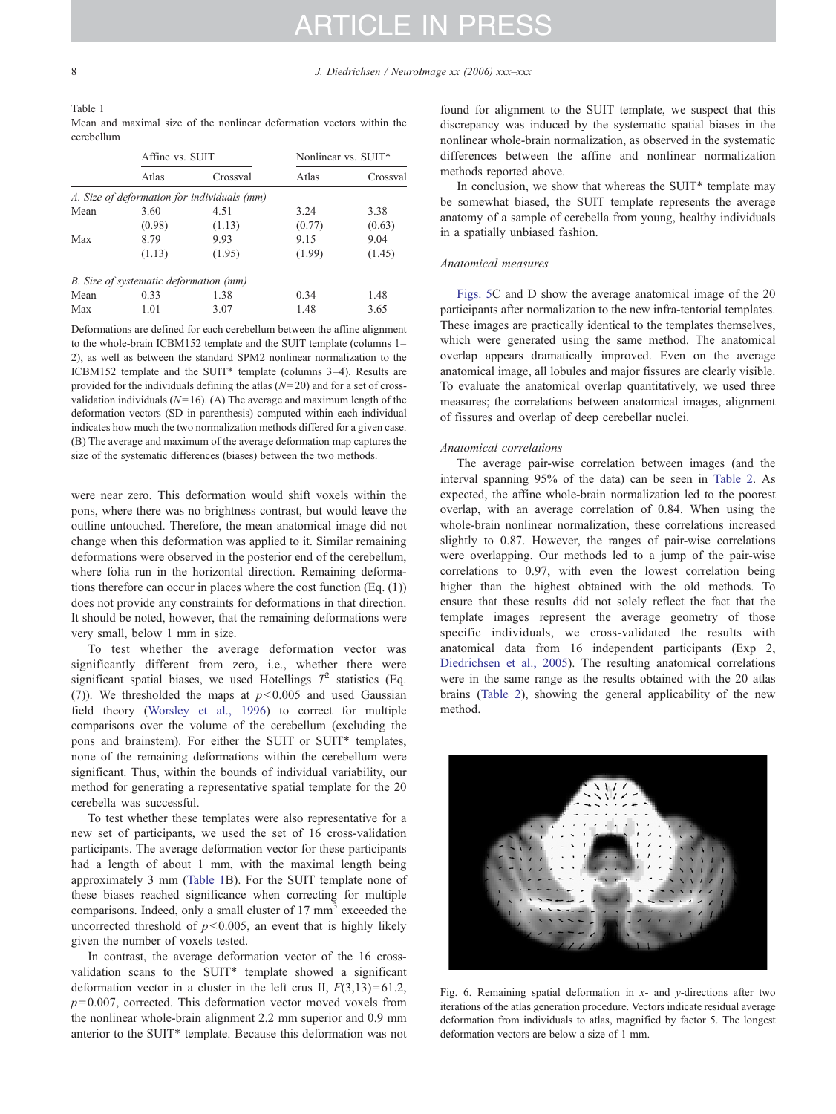<span id="page-7-0"></span>

| Table 1    |  |  |  |                                                                       |  |  |
|------------|--|--|--|-----------------------------------------------------------------------|--|--|
|            |  |  |  | Mean and maximal size of the nonlinear deformation vectors within the |  |  |
| cerebellum |  |  |  |                                                                       |  |  |

|      |                                        | Affine vs. SUIT                             |        | Nonlinear vs. SUIT* |  |  |
|------|----------------------------------------|---------------------------------------------|--------|---------------------|--|--|
|      | Atlas                                  | Crossval                                    | Atlas  | Crossval            |  |  |
|      |                                        | A. Size of deformation for individuals (mm) |        |                     |  |  |
| Mean | 3.60                                   | 4.51                                        | 3.24   | 3.38                |  |  |
|      | (0.98)                                 | (1.13)                                      | (0.77) | (0.63)              |  |  |
| Max  | 8.79                                   | 9.93                                        | 9.15   | 9.04                |  |  |
|      | (1.13)                                 | (1.95)                                      | (1.99) | (1.45)              |  |  |
|      | B. Size of systematic deformation (mm) |                                             |        |                     |  |  |
| Mean | 0.33                                   | 1.38                                        | 0.34   | 1.48                |  |  |
| Max  | 1.01                                   | 3.07                                        | 1.48   | 3.65                |  |  |

Deformations are defined for each cerebellum between the affine alignment to the whole-brain ICBM152 template and the SUIT template (columns 1– 2), as well as between the standard SPM2 nonlinear normalization to the ICBM152 template and the SUIT\* template (columns 3–4). Results are provided for the individuals defining the atlas  $(N=20)$  and for a set of crossvalidation individuals ( $N=16$ ). (A) The average and maximum length of the deformation vectors (SD in parenthesis) computed within each individual indicates how much the two normalization methods differed for a given case. (B) The average and maximum of the average deformation map captures the size of the systematic differences (biases) between the two methods.

were near zero. This deformation would shift voxels within the pons, where there was no brightness contrast, but would leave the outline untouched. Therefore, the mean anatomical image did not change when this deformation was applied to it. Similar remaining deformations were observed in the posterior end of the cerebellum, where folia run in the horizontal direction. Remaining deformations therefore can occur in places where the cost function (Eq. (1)) does not provide any constraints for deformations in that direction. It should be noted, however, that the remaining deformations were very small, below 1 mm in size.

To test whether the average deformation vector was significantly different from zero, i.e., whether there were significant spatial biases, we used Hotellings  $T^2$  statistics (Eq. (7)). We thresholded the maps at  $p < 0.005$  and used Gaussian field theory ([Worsley](#page-11-0) et al., 1996) to correct for multiple comparisons over the volume of the cerebellum (excluding the pons and brainstem). For either the SUIT or SUIT\* templates, none of the remaining deformations within the cerebellum were significant. Thus, within the bounds of individual variability, our method for generating a representative spatial template for the 20 cerebella was successful.

To test whether these templates were also representative for a new set of participants, we used the set of 16 cross-validation participants. The average deformation vector for these participants had a length of about 1 mm, with the maximal length being approximately 3 mm (Table 1B). For the SUIT template none of these biases reached significance when correcting for multiple comparisons. Indeed, only a small cluster of 17 mm<sup>3</sup> exceeded the uncorrected threshold of  $p < 0.005$ , an event that is highly likely given the number of voxels tested.

In contrast, the average deformation vector of the 16 crossvalidation scans to the SUIT\* template showed a significant deformation vector in a cluster in the left crus II,  $F(3,13)=61.2$ ,  $p=0.007$ , corrected. This deformation vector moved voxels from the nonlinear whole-brain alignment 2.2 mm superior and 0.9 mm anterior to the SUIT\* template. Because this deformation was not found for alignment to the SUIT template, we suspect that this discrepancy was induced by the systematic spatial biases in the nonlinear whole-brain normalization, as observed in the systematic differences between the affine and nonlinear normalization methods reported above.

In conclusion, we show that whereas the SUIT\* template may be somewhat biased, the SUIT template represents the average anatomy of a sample of cerebella from young, healthy individuals in a spatially unbiased fashion.

#### Anatomical measures

[Figs.](#page-6-0) 5C and D show the average anatomical image of the 20 participants after normalization to the new infra-tentorial templates. These images are practically identical to the templates themselves, which were generated using the same method. The anatomical overlap appears dramatically improved. Even on the average anatomical image, all lobules and major fissures are clearly visible. To evaluate the anatomical overlap quantitatively, we used three measures; the correlations between anatomical images, alignment of fissures and overlap of deep cerebellar nuclei.

#### Anatomical correlations

The average pair-wise correlation between images (and the interval spanning 95% of the data) can be seen in [Table](#page-8-0) 2. As expected, the affine whole-brain normalization led to the poorest overlap, with an average correlation of 0.84. When using the whole-brain nonlinear normalization, these correlations increased slightly to 0.87. However, the ranges of pair-wise correlations were overlapping. Our methods led to a jump of the pair-wise correlations to 0.97, with even the lowest correlation being higher than the highest obtained with the old methods. To ensure that these results did not solely reflect the fact that the template images represent the average geometry of those specific individuals, we cross-validated the results with anatomical data from 16 independent participants (Exp 2, [Diedrichsen](#page-11-0) et al., 2005). The resulting anatomical correlations were in the same range as the results obtained with the 20 atlas brains ([Table](#page-8-0) 2), showing the general applicability of the new method.



Fig. 6. Remaining spatial deformation in  $x$ - and  $y$ -directions after two iterations of the atlas generation procedure. Vectors indicate residual average deformation from individuals to atlas, magnified by factor 5. The longest deformation vectors are below a size of 1 mm.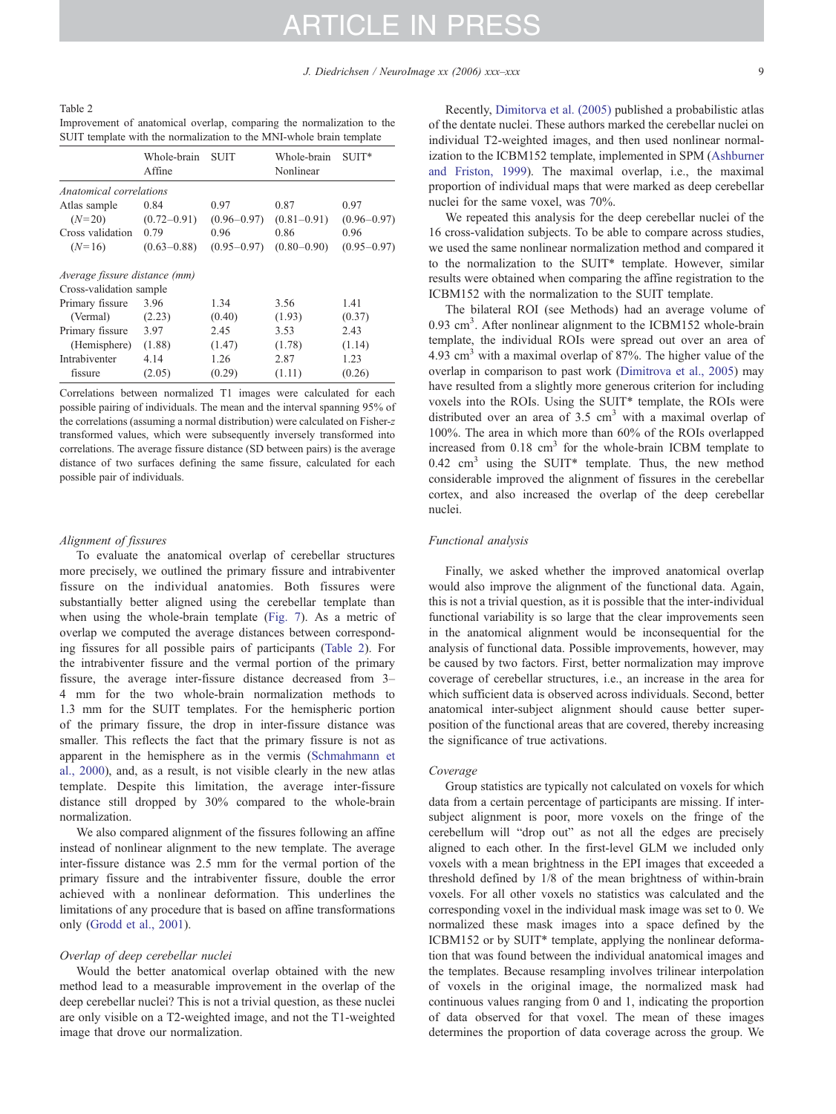<span id="page-8-0"></span>

| Table 2                                                               |  |  |  |
|-----------------------------------------------------------------------|--|--|--|
| Improvement of anatomical overlap, comparing the normalization to the |  |  |  |
| SUIT template with the normalization to the MNI-whole brain template  |  |  |  |

|                                | Whole-brain<br>Affine | <b>SUIT</b>     | Whole-brain<br>Nonlinear | SUIT*           |
|--------------------------------|-----------------------|-----------------|--------------------------|-----------------|
| <i>Anatomical correlations</i> |                       |                 |                          |                 |
| Atlas sample                   | 0.84                  | 0.97            | 0.87                     | 0.97            |
| $(N=20)$                       | $(0.72 - 0.91)$       | $(0.96 - 0.97)$ | $(0.81 - 0.91)$          | $(0.96 - 0.97)$ |
| Cross validation               | 0.79                  | 0.96            | 0.86                     | 0.96            |
| $(N=16)$                       | $(0.63 - 0.88)$       | $(0.95 - 0.97)$ | $(0.80 - 0.90)$          | $(0.95 - 0.97)$ |
| Average fissure distance (mm)  |                       |                 |                          |                 |
| Cross-validation sample        |                       |                 |                          |                 |
| Primary fissure                | 3.96                  | 1.34            | 3.56                     | 1.41            |
| (Vermal)                       | (2.23)                | (0.40)          | (1.93)                   | (0.37)          |
| Primary fissure                | 3.97                  | 2.45            | 3.53                     | 2.43            |
| (Hemisphere)                   | (1.88)                | (1.47)          | (1.78)                   | (1.14)          |
| Intrabiventer                  | 4.14                  | 1.26            | 2.87                     | 1.23            |
| fissure                        | (2.05)                | (0.29)          | (1.11)                   | (0.26)          |
|                                |                       |                 |                          |                 |

Correlations between normalized T1 images were calculated for each possible pairing of individuals. The mean and the interval spanning 95% of the correlations (assuming a normal distribution) were calculated on Fisher-z transformed values, which were subsequently inversely transformed into correlations. The average fissure distance (SD between pairs) is the average distance of two surfaces defining the same fissure, calculated for each possible pair of individuals.

#### Alignment of fissures

To evaluate the anatomical overlap of cerebellar structures more precisely, we outlined the primary fissure and intrabiventer fissure on the individual anatomies. Both fissures were substantially better aligned using the cerebellar template than when using the whole-brain template [\(Fig.](#page-9-0) 7). As a metric of overlap we computed the average distances between corresponding fissures for all possible pairs of participants (Table 2). For the intrabiventer fissure and the vermal portion of the primary fissure, the average inter-fissure distance decreased from 3– 4 mm for the two whole-brain normalization methods to 1.3 mm for the SUIT templates. For the hemispheric portion of the primary fissure, the drop in inter-fissure distance was smaller. This reflects the fact that the primary fissure is not as apparent in the hemisphere as in the vermis ([Schmahmann](#page-11-0) et al., [2000\)](#page-11-0), and, as a result, is not visible clearly in the new atlas template. Despite this limitation, the average inter-fissure distance still dropped by 30% compared to the whole-brain normalization.

We also compared alignment of the fissures following an affine instead of nonlinear alignment to the new template. The average inter-fissure distance was 2.5 mm for the vermal portion of the primary fissure and the intrabiventer fissure, double the error achieved with a nonlinear deformation. This underlines the limitations of any procedure that is based on affine transformations only [\(Grodd](#page-11-0) et al., 2001).

#### Overlap of deep cerebellar nuclei

Would the better anatomical overlap obtained with the new method lead to a measurable improvement in the overlap of the deep cerebellar nuclei? This is not a trivial question, as these nuclei are only visible on a T2-weighted image, and not the T1-weighted image that drove our normalization.

Recently, [Dimitorva](#page-11-0) et al. (2005) published a probabilistic atlas of the dentate nuclei. These authors marked the cerebellar nuclei on individual T2-weighted images, and then used nonlinear normalization to the ICBM152 template, implemented in SPM ([Ashburner](#page-11-0) and [Friston,](#page-11-0) 1999). The maximal overlap, i.e., the maximal proportion of individual maps that were marked as deep cerebellar nuclei for the same voxel, was 70%.

We repeated this analysis for the deep cerebellar nuclei of the 16 cross-validation subjects. To be able to compare across studies, we used the same nonlinear normalization method and compared it to the normalization to the SUIT\* template. However, similar results were obtained when comparing the affine registration to the ICBM152 with the normalization to the SUIT template.

The bilateral ROI (see Methods) had an average volume of 0.93 cm<sup>3</sup>. After nonlinear alignment to the ICBM152 whole-brain template, the individual ROIs were spread out over an area of 4.93  $\text{cm}^3$  with a maximal overlap of 87%. The higher value of the overlap in comparison to past work [\(Dimitrova](#page-11-0) et al., 2005) may have resulted from a slightly more generous criterion for including voxels into the ROIs. Using the SUIT\* template, the ROIs were distributed over an area of  $3.5 \text{ cm}^3$  with a maximal overlap of 100%. The area in which more than 60% of the ROIs overlapped increased from 0.18 cm<sup>3</sup> for the whole-brain ICBM template to 0.42 cm<sup>3</sup> using the SUIT<sup>\*</sup> template. Thus, the new method considerable improved the alignment of fissures in the cerebellar cortex, and also increased the overlap of the deep cerebellar nuclei.

#### Functional analysis

Finally, we asked whether the improved anatomical overlap would also improve the alignment of the functional data. Again, this is not a trivial question, as it is possible that the inter-individual functional variability is so large that the clear improvements seen in the anatomical alignment would be inconsequential for the analysis of functional data. Possible improvements, however, may be caused by two factors. First, better normalization may improve coverage of cerebellar structures, i.e., an increase in the area for which sufficient data is observed across individuals. Second, better anatomical inter-subject alignment should cause better superposition of the functional areas that are covered, thereby increasing the significance of true activations.

#### Coverage

Group statistics are typically not calculated on voxels for which data from a certain percentage of participants are missing. If intersubject alignment is poor, more voxels on the fringe of the cerebellum will "drop out" as not all the edges are precisely aligned to each other. In the first-level GLM we included only voxels with a mean brightness in the EPI images that exceeded a threshold defined by 1/8 of the mean brightness of within-brain voxels. For all other voxels no statistics was calculated and the corresponding voxel in the individual mask image was set to 0. We normalized these mask images into a space defined by the ICBM152 or by SUIT\* template, applying the nonlinear deformation that was found between the individual anatomical images and the templates. Because resampling involves trilinear interpolation of voxels in the original image, the normalized mask had continuous values ranging from 0 and 1, indicating the proportion of data observed for that voxel. The mean of these images determines the proportion of data coverage across the group. We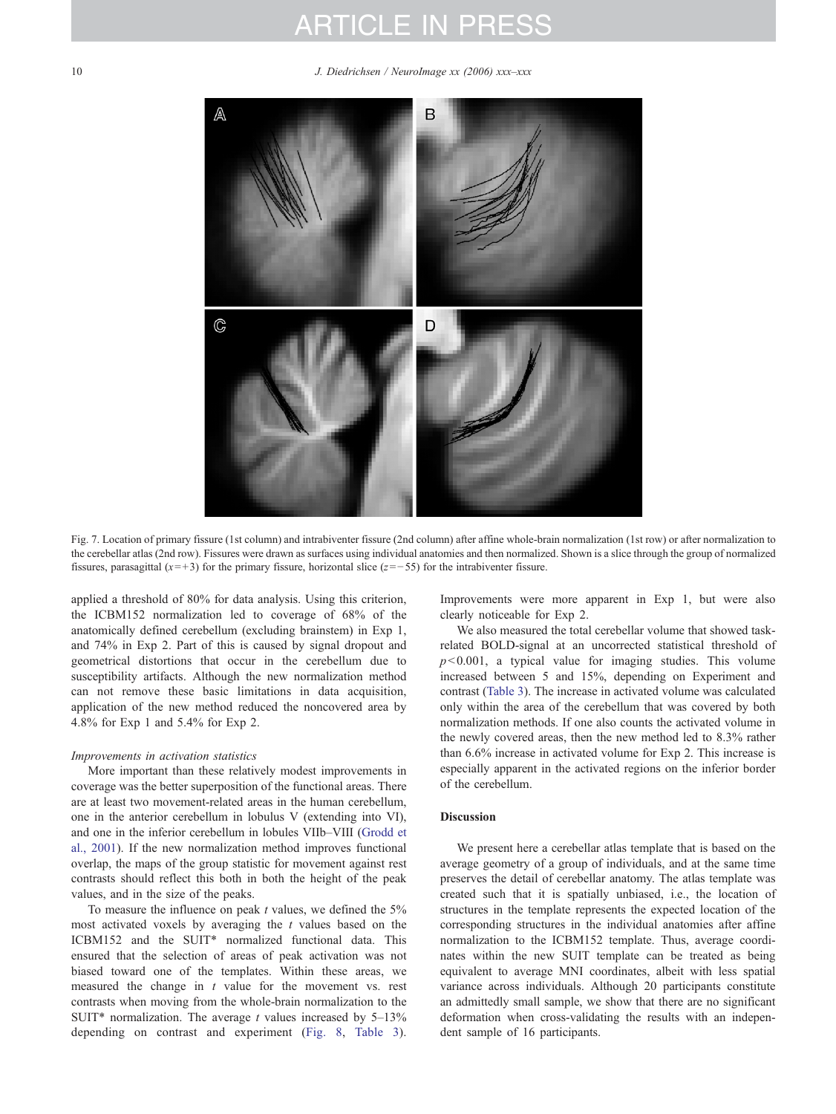<span id="page-9-0"></span>10 J. Diedrichsen / NeuroImage xx (2006) xxx–xxx



Fig. 7. Location of primary fissure (1st column) and intrabiventer fissure (2nd column) after affine whole-brain normalization (1st row) or after normalization to the cerebellar atlas (2nd row). Fissures were drawn as surfaces using individual anatomies and then normalized. Shown is a slice through the group of normalized fissures, parasagittal ( $x=+3$ ) for the primary fissure, horizontal slice ( $z=-55$ ) for the intrabiventer fissure.

applied a threshold of 80% for data analysis. Using this criterion, the ICBM152 normalization led to coverage of 68% of the anatomically defined cerebellum (excluding brainstem) in Exp 1, and 74% in Exp 2. Part of this is caused by signal dropout and geometrical distortions that occur in the cerebellum due to susceptibility artifacts. Although the new normalization method can not remove these basic limitations in data acquisition, application of the new method reduced the noncovered area by 4.8% for Exp 1 and 5.4% for Exp 2.

#### Improvements in activation statistics

More important than these relatively modest improvements in coverage was the better superposition of the functional areas. There are at least two movement-related areas in the human cerebellum, one in the anterior cerebellum in lobulus V (extending into VI), and one in the inferior cerebellum in lobules VIIb–VIII ([Grodd](#page-11-0) et al., [2001](#page-11-0)). If the new normalization method improves functional overlap, the maps of the group statistic for movement against rest contrasts should reflect this both in both the height of the peak values, and in the size of the peaks.

To measure the influence on peak  $t$  values, we defined the  $5\%$ most activated voxels by averaging the  $t$  values based on the ICBM152 and the SUIT\* normalized functional data. This ensured that the selection of areas of peak activation was not biased toward one of the templates. Within these areas, we measured the change in  $t$  value for the movement vs. rest contrasts when moving from the whole-brain normalization to the SUIT\* normalization. The average  $t$  values increased by  $5-13\%$ depending on contrast and experiment ([Fig.](#page-10-0) 8, [Table](#page-10-0) 3). Improvements were more apparent in Exp 1, but were also clearly noticeable for Exp 2.

We also measured the total cerebellar volume that showed taskrelated BOLD-signal at an uncorrected statistical threshold of  $p<0.001$ , a typical value for imaging studies. This volume increased between 5 and 15%, depending on Experiment and contrast ([Table](#page-10-0) 3). The increase in activated volume was calculated only within the area of the cerebellum that was covered by both normalization methods. If one also counts the activated volume in the newly covered areas, then the new method led to 8.3% rather than 6.6% increase in activated volume for Exp 2. This increase is especially apparent in the activated regions on the inferior border of the cerebellum.

#### Discussion

We present here a cerebellar atlas template that is based on the average geometry of a group of individuals, and at the same time preserves the detail of cerebellar anatomy. The atlas template was created such that it is spatially unbiased, i.e., the location of structures in the template represents the expected location of the corresponding structures in the individual anatomies after affine normalization to the ICBM152 template. Thus, average coordinates within the new SUIT template can be treated as being equivalent to average MNI coordinates, albeit with less spatial variance across individuals. Although 20 participants constitute an admittedly small sample, we show that there are no significant deformation when cross-validating the results with an independent sample of 16 participants.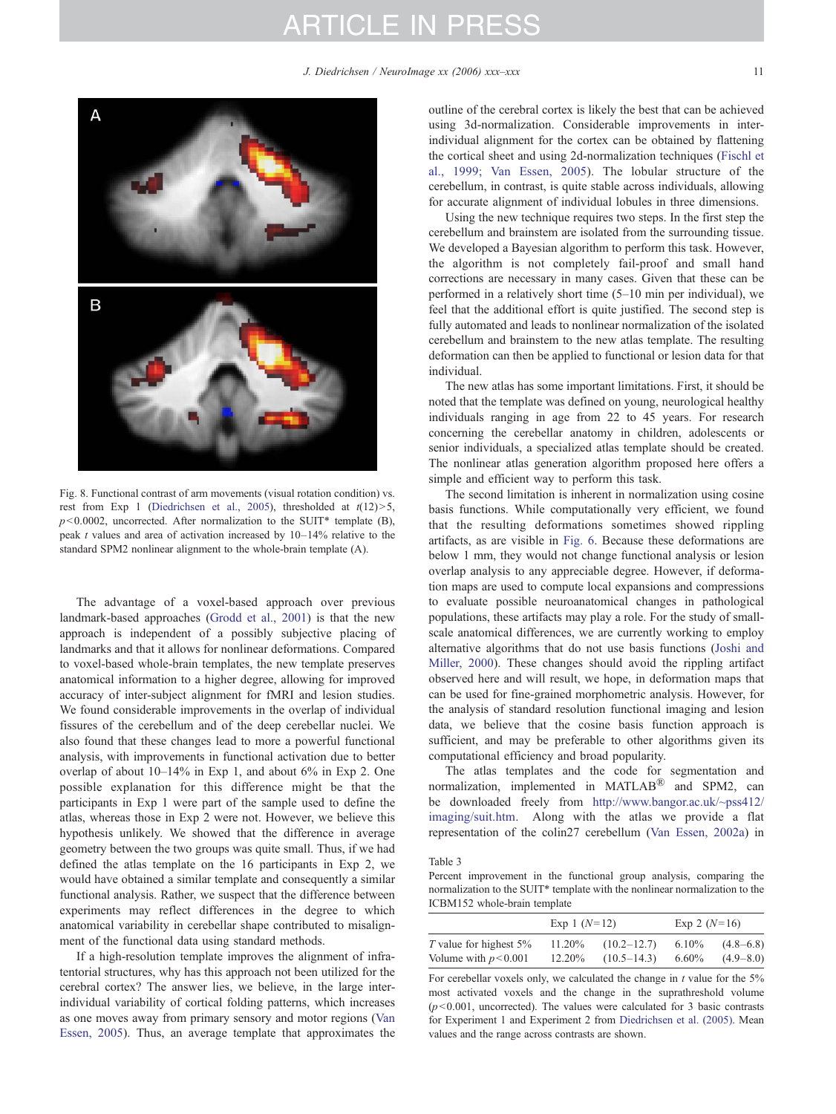<span id="page-10-0"></span>

Fig. 8. Functional contrast of arm movements (visual rotation condition) vs. rest from Exp 1 [\(Diedrichsen](#page-11-0) et al., 2005), thresholded at  $t(12) > 5$ ,  $p$ <0.0002, uncorrected. After normalization to the SUIT\* template (B), peak t values and area of activation increased by  $10-14\%$  relative to the standard SPM2 nonlinear alignment to the whole-brain template (A).

The advantage of a voxel-based approach over previous landmark-based approaches ([Grodd](#page-11-0) et al., 2001) is that the new approach is independent of a possibly subjective placing of landmarks and that it allows for nonlinear deformations. Compared to voxel-based whole-brain templates, the new template preserves anatomical information to a higher degree, allowing for improved accuracy of inter-subject alignment for fMRI and lesion studies. We found considerable improvements in the overlap of individual fissures of the cerebellum and of the deep cerebellar nuclei. We also found that these changes lead to more a powerful functional analysis, with improvements in functional activation due to better overlap of about 10–14% in Exp 1, and about 6% in Exp 2. One possible explanation for this difference might be that the participants in Exp 1 were part of the sample used to define the atlas, whereas those in Exp 2 were not. However, we believe this hypothesis unlikely. We showed that the difference in average geometry between the two groups was quite small. Thus, if we had defined the atlas template on the 16 participants in Exp 2, we would have obtained a similar template and consequently a similar functional analysis. Rather, we suspect that the difference between experiments may reflect differences in the degree to which anatomical variability in cerebellar shape contributed to misalignment of the functional data using standard methods.

If a high-resolution template improves the alignment of infratentorial structures, why has this approach not been utilized for the cerebral cortex? The answer lies, we believe, in the large interindividual variability of cortical folding patterns, which increases as one moves away from primary sensory and motor regions ([Van](#page-11-0) [Essen,](#page-11-0) 2005). Thus, an average template that approximates the outline of the cerebral cortex is likely the best that can be achieved using 3d-normalization. Considerable improvements in interindividual alignment for the cortex can be obtained by flattening the cortical sheet and using 2d-normalization techniques ([Fischl](#page-11-0) et al., 1999; Van [Essen,](#page-11-0) 2005). The lobular structure of the cerebellum, in contrast, is quite stable across individuals, allowing for accurate alignment of individual lobules in three dimensions.

Using the new technique requires two steps. In the first step the cerebellum and brainstem are isolated from the surrounding tissue. We developed a Bayesian algorithm to perform this task. However, the algorithm is not completely fail-proof and small hand corrections are necessary in many cases. Given that these can be performed in a relatively short time (5–10 min per individual), we feel that the additional effort is quite justified. The second step is fully automated and leads to nonlinear normalization of the isolated cerebellum and brainstem to the new atlas template. The resulting deformation can then be applied to functional or lesion data for that individual.

The new atlas has some important limitations. First, it should be noted that the template was defined on young, neurological healthy individuals ranging in age from 22 to 45 years. For research concerning the cerebellar anatomy in children, adolescents or senior individuals, a specialized atlas template should be created. The nonlinear atlas generation algorithm proposed here offers a simple and efficient way to perform this task.

The second limitation is inherent in normalization using cosine basis functions. While computationally very efficient, we found that the resulting deformations sometimes showed rippling artifacts, as are visible in [Fig.](#page-7-0) 6. Because these deformations are below 1 mm, they would not change functional analysis or lesion overlap analysis to any appreciable degree. However, if deformation maps are used to compute local expansions and compressions to evaluate possible neuroanatomical changes in pathological populations, these artifacts may play a role. For the study of smallscale anatomical differences, we are currently working to employ alternative algorithms that do not use basis functions ([Joshi](#page-11-0) and [Miller,](#page-11-0) 2000). These changes should avoid the rippling artifact observed here and will result, we hope, in deformation maps that can be used for fine-grained morphometric analysis. However, for the analysis of standard resolution functional imaging and lesion data, we believe that the cosine basis function approach is sufficient, and may be preferable to other algorithms given its computational efficiency and broad popularity.

The atlas templates and the code for segmentation and normalization, implemented in MATLAB® and SPM2, can be downloaded freely from [http://www.bangor.ac.uk/~pss412/](http://www.bangor.ac.uk/~pss412/imaging/suit.htm) [imaging/suit.htm](http://www.bangor.ac.uk/~pss412/imaging/suit.htm). Along with the atlas we provide a flat representation of the colin27 cerebellum (Van [Essen,](#page-11-0) 2002a) in

Table 3

Percent improvement in the functional group analysis, comparing the normalization to the SUIT\* template with the nonlinear normalization to the ICBM152 whole-brain template

|                         | Exp 1 $(N=12)$ |                 | Exp 2 $(N=16)$ |               |  |
|-------------------------|----------------|-----------------|----------------|---------------|--|
| T value for highest 5%  | 11.20%         | $(10.2 - 12.7)$ | $6.10\%$       | $(4.8 - 6.8)$ |  |
| Volume with $p < 0.001$ | 12.20%         | $(10.5 - 14.3)$ | $6.60\%$       | $(4.9 - 8.0)$ |  |

For cerebellar voxels only, we calculated the change in  $t$  value for the  $5\%$ most activated voxels and the change in the suprathreshold volume  $(p<0.001$ , uncorrected). The values were calculated for 3 basic contrasts for Experiment 1 and Experiment 2 from [Diedrichsen](#page-11-0) et al. (2005). Mean values and the range across contrasts are shown.